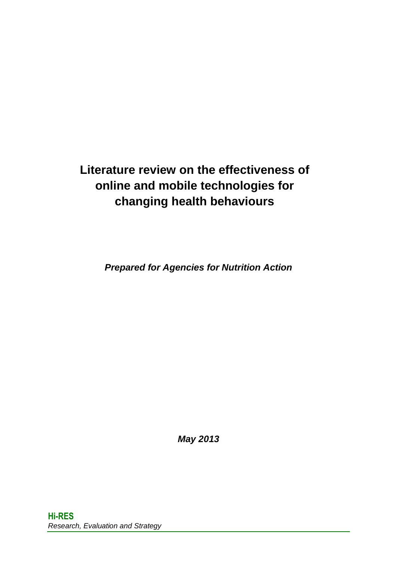## **Literature review on the effectiveness of online and mobile technologies for changing health behaviours**

*Prepared for Agencies for Nutrition Action* 

*May 2013*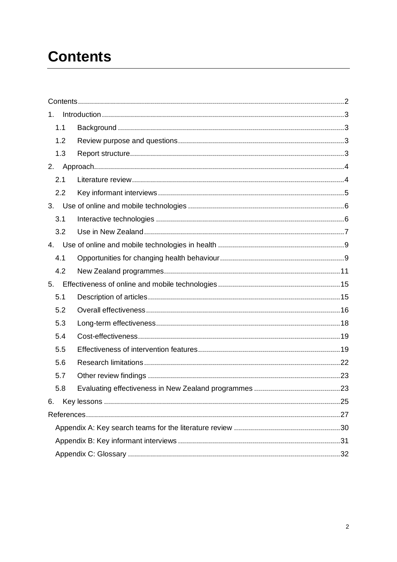## <span id="page-1-0"></span>**Contents**

| 1.  |  |  |  |  |  |
|-----|--|--|--|--|--|
| 1.1 |  |  |  |  |  |
| 1.2 |  |  |  |  |  |
| 1.3 |  |  |  |  |  |
| 2.  |  |  |  |  |  |
| 2.1 |  |  |  |  |  |
| 2.2 |  |  |  |  |  |
| 3.  |  |  |  |  |  |
| 3.1 |  |  |  |  |  |
| 3.2 |  |  |  |  |  |
| 4.  |  |  |  |  |  |
| 4.1 |  |  |  |  |  |
| 4.2 |  |  |  |  |  |
| 5.  |  |  |  |  |  |
| 5.1 |  |  |  |  |  |
| 5.2 |  |  |  |  |  |
| 5.3 |  |  |  |  |  |
| 5.4 |  |  |  |  |  |
| 5.5 |  |  |  |  |  |
| 5.6 |  |  |  |  |  |
| 5.7 |  |  |  |  |  |
| 5.8 |  |  |  |  |  |
| 6.  |  |  |  |  |  |
|     |  |  |  |  |  |
|     |  |  |  |  |  |
|     |  |  |  |  |  |
|     |  |  |  |  |  |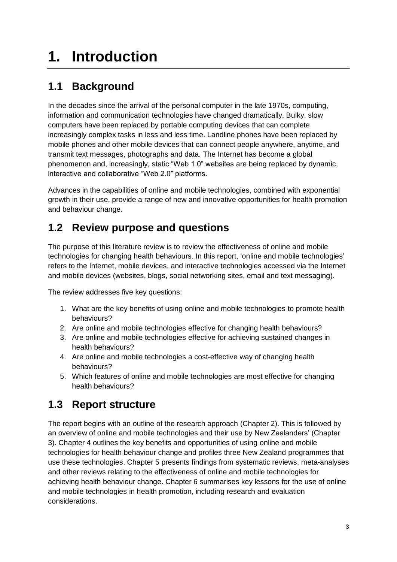# <span id="page-2-0"></span>**1. Introduction**

## <span id="page-2-1"></span>**1.1 Background**

In the decades since the arrival of the personal computer in the late 1970s, computing, information and communication technologies have changed dramatically. Bulky, slow computers have been replaced by portable computing devices that can complete increasingly complex tasks in less and less time. Landline phones have been replaced by mobile phones and other mobile devices that can connect people anywhere, anytime, and transmit text messages, photographs and data. The Internet has become a global phenomenon and, increasingly, static "Web 1.0" websites are being replaced by dynamic, interactive and collaborative "Web 2.0" platforms.

Advances in the capabilities of online and mobile technologies, combined with exponential growth in their use, provide a range of new and innovative opportunities for health promotion and behaviour change.

## <span id="page-2-2"></span>**1.2 Review purpose and questions**

The purpose of this literature review is to review the effectiveness of online and mobile technologies for changing health behaviours. In this report, 'online and mobile technologies' refers to the Internet, mobile devices, and interactive technologies accessed via the Internet and mobile devices (websites, blogs, social networking sites, email and text messaging).

The review addresses five key questions:

- 1. What are the key benefits of using online and mobile technologies to promote health behaviours?
- 2. Are online and mobile technologies effective for changing health behaviours?
- 3. Are online and mobile technologies effective for achieving sustained changes in health behaviours?
- 4. Are online and mobile technologies a cost-effective way of changing health behaviours?
- 5. Which features of online and mobile technologies are most effective for changing health behaviours?

## <span id="page-2-3"></span>**1.3 Report structure**

The report begins with an outline of the research approach (Chapter 2). This is followed by an overview of online and mobile technologies and their use by New Zealanders' (Chapter 3). Chapter 4 outlines the key benefits and opportunities of using online and mobile technologies for health behaviour change and profiles three New Zealand programmes that use these technologies. Chapter 5 presents findings from systematic reviews, meta-analyses and other reviews relating to the effectiveness of online and mobile technologies for achieving health behaviour change. Chapter 6 summarises key lessons for the use of online and mobile technologies in health promotion, including research and evaluation considerations.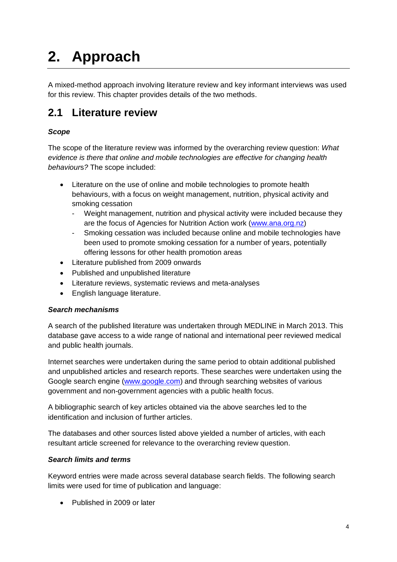# <span id="page-3-0"></span>**2. Approach**

A mixed-method approach involving literature review and key informant interviews was used for this review. This chapter provides details of the two methods.

### <span id="page-3-1"></span>**2.1 Literature review**

#### *Scope*

The scope of the literature review was informed by the overarching review question: *What evidence is there that online and mobile technologies are effective for changing health behaviour*s*?* The scope included:

- Literature on the use of online and mobile technologies to promote health behaviours, with a focus on weight management, nutrition, physical activity and smoking cessation
	- Weight management, nutrition and physical activity were included because they are the focus of Agencies for Nutrition Action work [\(www.ana.org.nz\)](http://www.ana.org.nz/)
	- Smoking cessation was included because online and mobile technologies have been used to promote smoking cessation for a number of years, potentially offering lessons for other health promotion areas
- Literature published from 2009 onwards
- Published and unpublished literature
- Literature reviews, systematic reviews and meta-analyses
- English language literature.

#### *Search mechanisms*

A search of the published literature was undertaken through MEDLINE in March 2013. This database gave access to a wide range of national and international peer reviewed medical and public health journals.

Internet searches were undertaken during the same period to obtain additional published and unpublished articles and research reports. These searches were undertaken using the Google search engine [\(www.google.com\)](http://www.google.com/) and through searching websites of various government and non-government agencies with a public health focus.

A bibliographic search of key articles obtained via the above searches led to the identification and inclusion of further articles.

The databases and other sources listed above yielded a number of articles, with each resultant article screened for relevance to the overarching review question.

#### *Search limits and terms*

Keyword entries were made across several database search fields. The following search limits were used for time of publication and language:

• Published in 2009 or later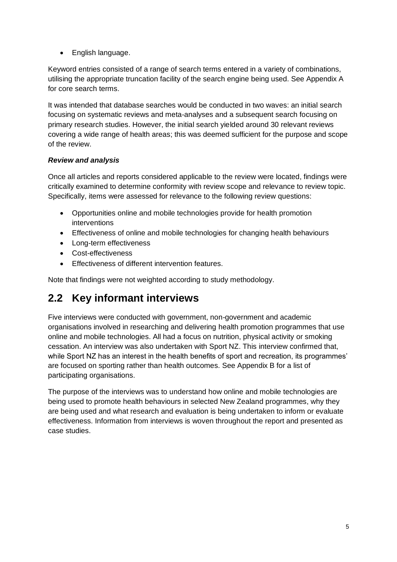• English language.

Keyword entries consisted of a range of search terms entered in a variety of combinations, utilising the appropriate truncation facility of the search engine being used. See Appendix A for core search terms.

It was intended that database searches would be conducted in two waves: an initial search focusing on systematic reviews and meta-analyses and a subsequent search focusing on primary research studies. However, the initial search yielded around 30 relevant reviews covering a wide range of health areas; this was deemed sufficient for the purpose and scope of the review.

#### *Review and analysis*

Once all articles and reports considered applicable to the review were located, findings were critically examined to determine conformity with review scope and relevance to review topic. Specifically, items were assessed for relevance to the following review questions:

- Opportunities online and mobile technologies provide for health promotion interventions
- Effectiveness of online and mobile technologies for changing health behaviours
- Long-term effectiveness
- Cost-effectiveness
- Effectiveness of different intervention features.

Note that findings were not weighted according to study methodology.

### <span id="page-4-0"></span>**2.2 Key informant interviews**

Five interviews were conducted with government, non-government and academic organisations involved in researching and delivering health promotion programmes that use online and mobile technologies. All had a focus on nutrition, physical activity or smoking cessation. An interview was also undertaken with Sport NZ. This interview confirmed that, while Sport NZ has an interest in the health benefits of sport and recreation, its programmes' are focused on sporting rather than health outcomes. See Appendix B for a list of participating organisations.

The purpose of the interviews was to understand how online and mobile technologies are being used to promote health behaviours in selected New Zealand programmes, why they are being used and what research and evaluation is being undertaken to inform or evaluate effectiveness. Information from interviews is woven throughout the report and presented as case studies.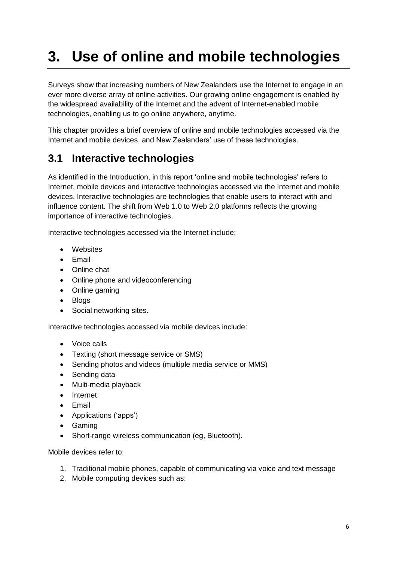# <span id="page-5-0"></span>**3. Use of online and mobile technologies**

Surveys show that increasing numbers of New Zealanders use the Internet to engage in an ever more diverse array of online activities. Our growing online engagement is enabled by the widespread availability of the Internet and the advent of Internet-enabled mobile technologies, enabling us to go online anywhere, anytime.

This chapter provides a brief overview of online and mobile technologies accessed via the Internet and mobile devices, and New Zealanders' use of these technologies.

## <span id="page-5-1"></span>**3.1 Interactive technologies**

As identified in the Introduction, in this report 'online and mobile technologies' refers to Internet, mobile devices and interactive technologies accessed via the Internet and mobile devices. Interactive technologies are technologies that enable users to interact with and influence content. The shift from Web 1.0 to Web 2.0 platforms reflects the growing importance of interactive technologies.

Interactive technologies accessed via the Internet include:

- Websites
- Email
- Online chat
- Online phone and videoconferencing
- Online gaming
- Blogs
- Social networking sites.

Interactive technologies accessed via mobile devices include:

- Voice calls
- Texting (short message service or SMS)
- Sending photos and videos (multiple media service or MMS)
- Sending data
- Multi-media playback
- Internet
- Email
- Applications ('apps')
- Gaming
- Short-range wireless communication (eg, Bluetooth).

Mobile devices refer to:

- 1. Traditional mobile phones, capable of communicating via voice and text message
- 2. Mobile computing devices such as: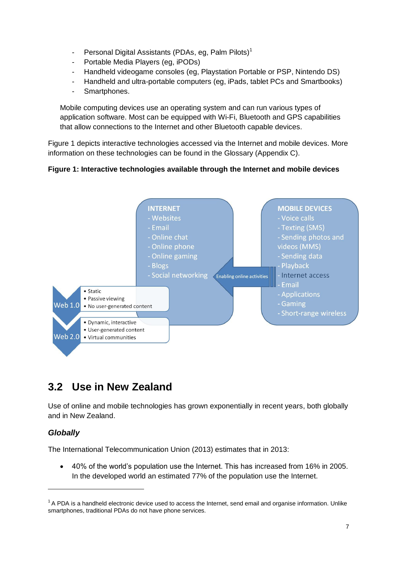- Personal Digital Assistants (PDAs, eg, Palm Pilots)<sup>1</sup>
- Portable Media Players (eg, iPODs)
- Handheld videogame consoles (eg, Playstation Portable or PSP, Nintendo DS)
- Handheld and ultra-portable computers (eg, iPads, tablet PCs and Smartbooks)
- Smartphones.

Mobile computing devices use an operating system and can run various types of application software. Most can be equipped with Wi-Fi, Bluetooth and GPS capabilities that allow connections to the Internet and other Bluetooth capable devices.

Figure 1 depicts interactive technologies accessed via the Internet and mobile devices. More information on these technologies can be found in the Glossary (Appendix C).

#### **Figure 1: Interactive technologies available through the Internet and mobile devices**



### <span id="page-6-0"></span>**3.2 Use in New Zealand**

Use of online and mobile technologies has grown exponentially in recent years, both globally and in New Zealand.

#### *Globally*

-

The International Telecommunication Union (2013) estimates that in 2013:

 40% of the world's population use the Internet. This has increased from 16% in 2005. In the developed world an estimated 77% of the population use the Internet.

 $1$  A PDA is a handheld electronic device used to access the Internet, send email and organise information. Unlike smartphones, traditional PDAs do not have phone services.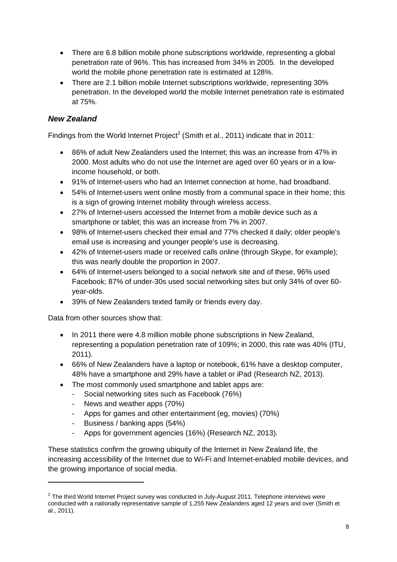- There are 6.8 billion mobile phone subscriptions worldwide, representing a global penetration rate of 96%. This has increased from 34% in 2005. In the developed world the mobile phone penetration rate is estimated at 128%.
- There are 2.1 billion mobile Internet subscriptions worldwide, representing 30% penetration. In the developed world the mobile Internet penetration rate is estimated at 75%.

#### *New Zealand*

Findings from the World Internet Project<sup>2</sup> (Smith et al., 2011) indicate that in 2011:

- 86% of adult New Zealanders used the Internet; this was an increase from 47% in 2000. Most adults who do not use the Internet are aged over 60 years or in a lowincome household, or both.
- 91% of Internet-users who had an Internet connection at home, had broadband.
- 54% of Internet-users went online mostly from a communal space in their home; this is a sign of growing Internet mobility through wireless access.
- 27% of Internet-users accessed the Internet from a mobile device such as a smartphone or tablet; this was an increase from 7% in 2007.
- 98% of Internet-users checked their email and 77% checked it daily; older people's email use is increasing and younger people's use is decreasing.
- 42% of Internet-users made or received calls online (through Skype, for example); this was nearly double the proportion in 2007.
- 64% of Internet-users belonged to a social network site and of these, 96% used Facebook; 87% of under-30s used social networking sites but only 34% of over 60 year-olds.
- 39% of New Zealanders texted family or friends every day.

Data from other sources show that:

-

- In 2011 there were 4.8 million mobile phone subscriptions in New Zealand, representing a population penetration rate of 109%; in 2000, this rate was 40% (ITU, 2011).
- 66% of New Zealanders have a laptop or notebook, 61% have a desktop computer, 48% have a smartphone and 29% have a tablet or iPad (Research NZ, 2013).
- The most commonly used smartphone and tablet apps are:
	- Social networking sites such as Facebook (76%)
	- News and weather apps (70%)
	- Apps for games and other entertainment (eg, movies) (70%)
	- Business / banking apps (54%)
	- Apps for government agencies (16%) (Research NZ, 2013).

These statistics confirm the growing ubiquity of the Internet in New Zealand life, the increasing accessibility of the Internet due to Wi-Fi and Internet-enabled mobile devices, and the growing importance of social media.

 $2$  The third World Internet Project survey was conducted in July-August 2011. Telephone interviews were conducted with a nationally representative sample of 1,255 New Zealanders aged 12 years and over (Smith et al., 2011).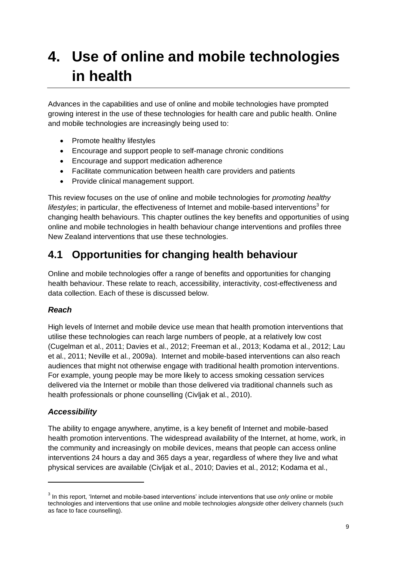## <span id="page-8-0"></span>**4. Use of online and mobile technologies in health**

Advances in the capabilities and use of online and mobile technologies have prompted growing interest in the use of these technologies for health care and public health. Online and mobile technologies are increasingly being used to:

- Promote healthy lifestyles
- Encourage and support people to self-manage chronic conditions
- Encourage and support medication adherence
- Facilitate communication between health care providers and patients
- Provide clinical management support.

This review focuses on the use of online and mobile technologies for *promoting healthy*  lifestyles; in particular, the effectiveness of Internet and mobile-based interventions<sup>3</sup> for changing health behaviours. This chapter outlines the key benefits and opportunities of using online and mobile technologies in health behaviour change interventions and profiles three New Zealand interventions that use these technologies.

## <span id="page-8-1"></span>**4.1 Opportunities for changing health behaviour**

Online and mobile technologies offer a range of benefits and opportunities for changing health behaviour. These relate to reach, accessibility, interactivity, cost-effectiveness and data collection. Each of these is discussed below.

#### *Reach*

High levels of Internet and mobile device use mean that health promotion interventions that utilise these technologies can reach large numbers of people, at a relatively low cost (Cugelman et al., 2011; Davies et al., 2012; Freeman et al., 2013; Kodama et al., 2012; Lau et al., 2011; Neville et al., 2009a). Internet and mobile-based interventions can also reach audiences that might not otherwise engage with traditional health promotion interventions. For example, young people may be more likely to access smoking cessation services delivered via the Internet or mobile than those delivered via traditional channels such as health professionals or phone counselling (Civljak et al., 2010).

#### *Accessibility*

-

The ability to engage anywhere, anytime, is a key benefit of Internet and mobile-based health promotion interventions. The widespread availability of the Internet, at home, work, in the community and increasingly on mobile devices, means that people can access online interventions 24 hours a day and 365 days a year, regardless of where they live and what physical services are available (Civljak et al., 2010; Davies et al., 2012; Kodama et al.,

<sup>3</sup> In this report, 'Internet and mobile-based interventions' include interventions that use *only* online or mobile technologies and interventions that use online and mobile technologies *alongside* other delivery channels (such as face to face counselling).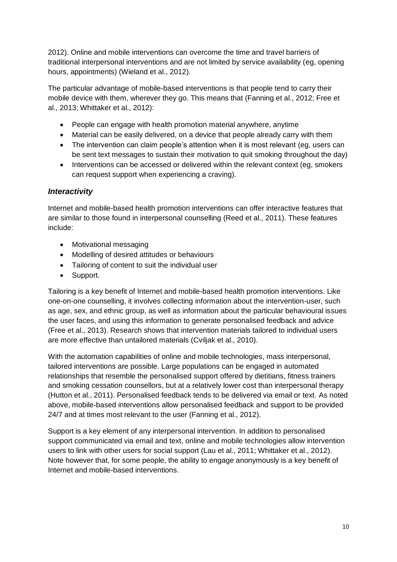2012). Online and mobile interventions can overcome the time and travel barriers of traditional interpersonal interventions and are not limited by service availability (eg, opening hours, appointments) (Wieland et al., 2012).

The particular advantage of mobile-based interventions is that people tend to carry their mobile device with them, wherever they go. This means that (Fanning et al., 2012; Free et al., 2013; Whittaker et al., 2012):

- People can engage with health promotion material anywhere, anytime
- Material can be easily delivered, on a device that people already carry with them
- The intervention can claim people's attention when it is most relevant (eg, users can be sent text messages to sustain their motivation to quit smoking throughout the day)
- Interventions can be accessed or delivered within the relevant context (eg, smokers can request support when experiencing a craving).

#### *Interactivity*

Internet and mobile-based health promotion interventions can offer interactive features that are similar to those found in interpersonal counselling (Reed et al., 2011). These features include:

- Motivational messaging
- Modelling of desired attitudes or behaviours
- Tailoring of content to suit the individual user
- Support.

Tailoring is a key benefit of Internet and mobile-based health promotion interventions. Like one-on-one counselling, it involves collecting information about the intervention-user, such as age, sex, and ethnic group, as well as information about the particular behavioural issues the user faces, and using this information to generate personalised feedback and advice (Free et al., 2013). Research shows that intervention materials tailored to individual users are more effective than untailored materials (Cviljak et al., 2010).

With the automation capabilities of online and mobile technologies, mass interpersonal, tailored interventions are possible. Large populations can be engaged in automated relationships that resemble the personalised support offered by dietitians, fitness trainers and smoking cessation counsellors, but at a relatively lower cost than interpersonal therapy (Hutton et al., 2011). Personalised feedback tends to be delivered via email or text. As noted above, mobile-based interventions allow personalised feedback and support to be provided 24/7 and at times most relevant to the user (Fanning et al., 2012).

Support is a key element of any interpersonal intervention. In addition to personalised support communicated via email and text, online and mobile technologies allow intervention users to link with other users for social support (Lau et al., 2011; Whittaker et al., 2012). Note however that, for some people, the ability to engage anonymously is a key benefit of Internet and mobile-based interventions.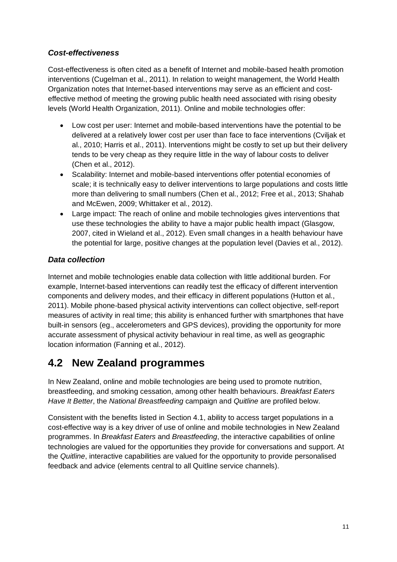#### *Cost-effectiveness*

Cost-effectiveness is often cited as a benefit of Internet and mobile-based health promotion interventions (Cugelman et al., 2011). In relation to weight management, the World Health Organization notes that Internet-based interventions may serve as an efficient and costeffective method of meeting the growing public health need associated with rising obesity levels (World Health Organization, 2011). Online and mobile technologies offer:

- Low cost per user: Internet and mobile-based interventions have the potential to be delivered at a relatively lower cost per user than face to face interventions (Cviljak et al., 2010; Harris et al., 2011). Interventions might be costly to set up but their delivery tends to be very cheap as they require little in the way of labour costs to deliver (Chen et al., 2012).
- Scalability: Internet and mobile-based interventions offer potential economies of scale; it is technically easy to deliver interventions to large populations and costs little more than delivering to small numbers (Chen et al., 2012; Free et al., 2013; Shahab and McEwen, 2009; Whittaker et al., 2012).
- Large impact: The reach of online and mobile technologies gives interventions that use these technologies the ability to have a major public health impact (Glasgow, 2007, cited in Wieland et al., 2012). Even small changes in a health behaviour have the potential for large, positive changes at the population level (Davies et al., 2012).

#### *Data collection*

Internet and mobile technologies enable data collection with little additional burden. For example, Internet-based interventions can readily test the efficacy of different intervention components and delivery modes, and their efficacy in different populations (Hutton et al., 2011). Mobile phone-based physical activity interventions can collect objective, self-report measures of activity in real time; this ability is enhanced further with smartphones that have built-in sensors (eg., accelerometers and GPS devices), providing the opportunity for more accurate assessment of physical activity behaviour in real time, as well as geographic location information (Fanning et al., 2012).

### <span id="page-10-0"></span>**4.2 New Zealand programmes**

In New Zealand, online and mobile technologies are being used to promote nutrition, breastfeeding, and smoking cessation, among other health behaviours. *Breakfast Eaters Have It Better*, the *National Breastfeeding* campaign and *Quitline* are profiled below.

Consistent with the benefits listed in Section 4.1, ability to access target populations in a cost-effective way is a key driver of use of online and mobile technologies in New Zealand programmes. In *Breakfast Eaters* and *Breastfeeding*, the interactive capabilities of online technologies are valued for the opportunities they provide for conversations and support. At the *Quitline*, interactive capabilities are valued for the opportunity to provide personalised feedback and advice (elements central to all Quitline service channels).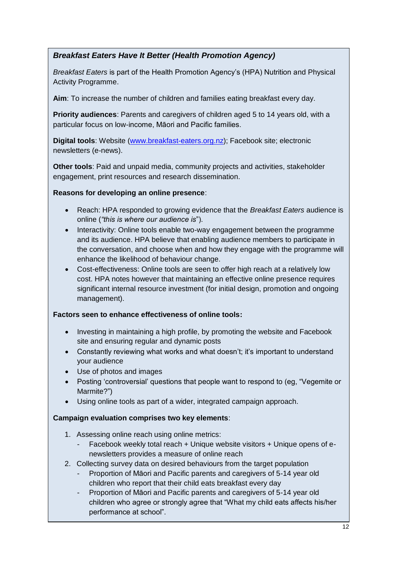#### *Breakfast Eaters Have It Better (Health Promotion Agency)*

*Breakfast Eaters* is part of the Health Promotion Agency's (HPA) Nutrition and Physical Activity Programme.

**Aim**: To increase the number of children and families eating breakfast every day.

**Priority audiences**: Parents and caregivers of children aged 5 to 14 years old, with a particular focus on low-income, Māori and Pacific families.

**Digital tools**: Website [\(www.breakfast-eaters.org.nz\)](http://www.breakfast-eaters.org.nz/); Facebook site; electronic newsletters (e-news).

**Other tools**: Paid and unpaid media, community projects and activities, stakeholder engagement, print resources and research dissemination.

#### **Reasons for developing an online presence**:

- Reach: HPA responded to growing evidence that the *Breakfast Eaters* audience is online (*"this is where our audience is*").
- Interactivity: Online tools enable two-way engagement between the programme and its audience. HPA believe that enabling audience members to participate in the conversation, and choose when and how they engage with the programme will enhance the likelihood of behaviour change.
- Cost-effectiveness: Online tools are seen to offer high reach at a relatively low cost. HPA notes however that maintaining an effective online presence requires significant internal resource investment (for initial design, promotion and ongoing management).

#### **Factors seen to enhance effectiveness of online tools:**

- Investing in maintaining a high profile, by promoting the website and Facebook site and ensuring regular and dynamic posts
- Constantly reviewing what works and what doesn't; it's important to understand your audience
- Use of photos and images
- Posting 'controversial' questions that people want to respond to (eg, "Vegemite or Marmite?")
- Using online tools as part of a wider, integrated campaign approach.

#### **Campaign evaluation comprises two key elements**:

- 1. Assessing online reach using online metrics:
	- Facebook weekly total reach + Unique website visitors + Unique opens of enewsletters provides a measure of online reach
- 2. Collecting survey data on desired behaviours from the target population
	- Proportion of Māori and Pacific parents and caregivers of 5-14 year old children who report that their child eats breakfast every day
	- Proportion of Māori and Pacific parents and caregivers of 5-14 year old children who agree or strongly agree that "What my child eats affects his/her performance at school".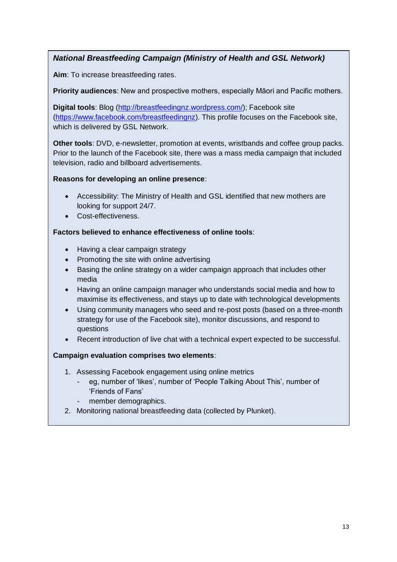#### *National Breastfeeding Campaign (Ministry of Health and GSL Network)*

**Aim**: To increase breastfeeding rates.

**Priority audiences**: New and prospective mothers, especially Māori and Pacific mothers.

**Digital tools**: Blog [\(http://breastfeedingnz.wordpress.com/\)](http://breastfeedingnz.wordpress.com/); Facebook site [\(https://www.facebook.com/breastfeedingnz\)](https://www.facebook.com/breastfeedingnz). This profile focuses on the Facebook site, which is delivered by GSL Network.

**Other tools**: DVD, e-newsletter, promotion at events, wristbands and coffee group packs. Prior to the launch of the Facebook site, there was a mass media campaign that included television, radio and billboard advertisements.

#### **Reasons for developing an online presence**:

- Accessibility: The Ministry of Health and GSL identified that new mothers are looking for support 24/7.
- Cost-effectiveness.

#### **Factors believed to enhance effectiveness of online tools**:

- Having a clear campaign strategy
- Promoting the site with online advertising
- Basing the online strategy on a wider campaign approach that includes other media
- Having an online campaign manager who understands social media and how to maximise its effectiveness, and stays up to date with technological developments
- Using community managers who seed and re-post posts (based on a three-month strategy for use of the Facebook site), monitor discussions, and respond to questions
- Recent introduction of live chat with a technical expert expected to be successful.

#### **Campaign evaluation comprises two elements**:

- 1. Assessing Facebook engagement using online metrics
	- eg, number of 'likes', number of 'People Talking About This', number of 'Friends of Fans'
	- member demographics.
- 2. Monitoring national breastfeeding data (collected by Plunket).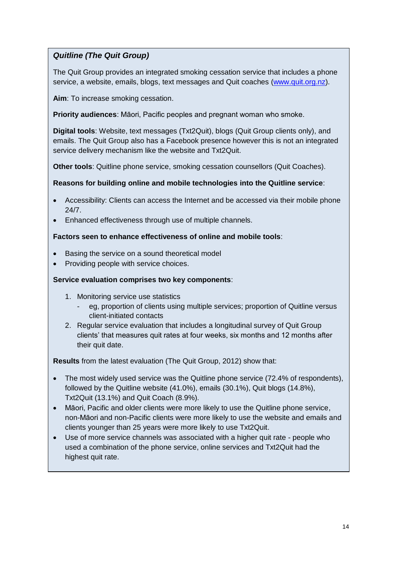#### *Quitline (The Quit Group)*

The Quit Group provides an integrated smoking cessation service that includes a phone service, a website, emails, blogs, text messages and Quit coaches [\(www.quit.org.nz\)](http://www.quit.org.nz/).

**Aim**: To increase smoking cessation.

**Priority audiences**: Māori, Pacific peoples and pregnant woman who smoke.

**Digital tools**: Website, text messages (Txt2Quit), blogs (Quit Group clients only), and emails. The Quit Group also has a Facebook presence however this is not an integrated service delivery mechanism like the website and Txt2Quit.

**Other tools**: Quitline phone service, smoking cessation counsellors (Quit Coaches).

#### **Reasons for building online and mobile technologies into the Quitline service**:

- Accessibility: Clients can access the Internet and be accessed via their mobile phone 24/7.
- Enhanced effectiveness through use of multiple channels.

#### **Factors seen to enhance effectiveness of online and mobile tools**:

- Basing the service on a sound theoretical model
- Providing people with service choices.

#### **Service evaluation comprises two key components**:

- 1. Monitoring service use statistics
	- eg, proportion of clients using multiple services; proportion of Quitline versus client-initiated contacts
- 2. Regular service evaluation that includes a longitudinal survey of Quit Group clients' that measures quit rates at four weeks, six months and 12 months after their quit date.

**Results** from the latest evaluation (The Quit Group, 2012) show that:

- The most widely used service was the Quitline phone service (72.4% of respondents), followed by the Quitline website (41.0%), emails (30.1%), Quit blogs (14.8%), Txt2Quit (13.1%) and Quit Coach (8.9%).
- Māori, Pacific and older clients were more likely to use the Quitline phone service, non-Māori and non-Pacific clients were more likely to use the website and emails and clients younger than 25 years were more likely to use Txt2Quit.
- Use of more service channels was associated with a higher quit rate people who used a combination of the phone service, online services and Txt2Quit had the highest quit rate.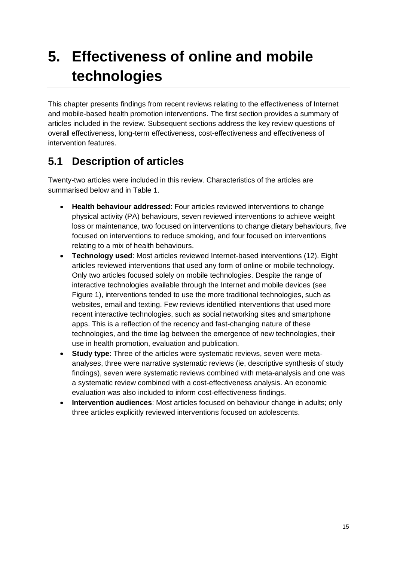# <span id="page-14-0"></span>**5. Effectiveness of online and mobile technologies**

This chapter presents findings from recent reviews relating to the effectiveness of Internet and mobile-based health promotion interventions. The first section provides a summary of articles included in the review. Subsequent sections address the key review questions of overall effectiveness, long-term effectiveness, cost-effectiveness and effectiveness of intervention features.

## <span id="page-14-1"></span>**5.1 Description of articles**

Twenty-two articles were included in this review. Characteristics of the articles are summarised below and in Table 1.

- **Health behaviour addressed**: Four articles reviewed interventions to change physical activity (PA) behaviours, seven reviewed interventions to achieve weight loss or maintenance, two focused on interventions to change dietary behaviours, five focused on interventions to reduce smoking, and four focused on interventions relating to a mix of health behaviours.
- **Technology used**: Most articles reviewed Internet-based interventions (12). Eight articles reviewed interventions that used any form of online or mobile technology. Only two articles focused solely on mobile technologies. Despite the range of interactive technologies available through the Internet and mobile devices (see Figure 1), interventions tended to use the more traditional technologies, such as websites, email and texting. Few reviews identified interventions that used more recent interactive technologies, such as social networking sites and smartphone apps. This is a reflection of the recency and fast-changing nature of these technologies, and the time lag between the emergence of new technologies, their use in health promotion, evaluation and publication.
- **Study type**: Three of the articles were systematic reviews, seven were metaanalyses, three were narrative systematic reviews (ie, descriptive synthesis of study findings), seven were systematic reviews combined with meta-analysis and one was a systematic review combined with a cost-effectiveness analysis. An economic evaluation was also included to inform cost-effectiveness findings.
- **Intervention audiences**: Most articles focused on behaviour change in adults; only three articles explicitly reviewed interventions focused on adolescents.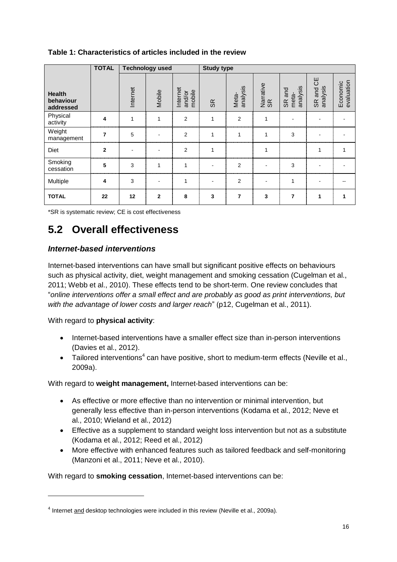|                                         | <b>TOTAL</b>   | <b>Technology used</b> |                |                              | <b>Study type</b>        |                   |                 |                             |                          |                        |
|-----------------------------------------|----------------|------------------------|----------------|------------------------------|--------------------------|-------------------|-----------------|-----------------------------|--------------------------|------------------------|
| <b>Health</b><br>behaviour<br>addressed |                | Internet               | Mobile         | Internet<br>mobile<br>and/or | SR                       | analysis<br>Meta- | Narrative<br>SR | analysis<br>SR and<br>meta- | ЪЮ<br>analysis<br>SR and | evaluation<br>Economic |
| Physical<br>activity                    | 4              | 1                      | 1              | 2                            | 1                        | $\overline{2}$    | 1               |                             |                          |                        |
| Weight<br>management                    | 7              | 5                      | ۰              | $\overline{2}$               | 1                        | 1                 | 1               | 3                           |                          |                        |
| <b>Diet</b>                             | $\overline{2}$ |                        |                | $\overline{2}$               | 1                        |                   | 1               |                             | 1                        |                        |
| Smoking<br>cessation                    | 5              | 3                      | 1              | 1                            | $\overline{\phantom{a}}$ | 2                 |                 | 3                           |                          |                        |
| Multiple                                | 4              | 3                      | ٠              | 1                            | $\blacksquare$           | 2                 | $\overline{a}$  | 1                           |                          |                        |
| <b>TOTAL</b>                            | 22             | 12                     | $\overline{2}$ | 8                            | 3                        | $\overline{7}$    | 3               | 7                           | 1                        |                        |

#### **Table 1: Characteristics of articles included in the review**

\*SR is systematic review; CE is cost effectiveness

## <span id="page-15-0"></span>**5.2 Overall effectiveness**

#### *Internet-based interventions*

Internet-based interventions can have small but significant positive effects on behaviours such as physical activity, diet, weight management and smoking cessation (Cugelman et al., 2011; Webb et al., 2010). These effects tend to be short-term. One review concludes that "*online interventions offer a small effect and are probably as good as print interventions, but with the advantage of lower costs and larger reach*" (p12, Cugelman et al., 2011).

With regard to **physical activity**:

-

- Internet-based interventions have a smaller effect size than in-person interventions (Davies et al., 2012).
- Tailored interventions<sup>4</sup> can have positive, short to medium-term effects (Neville et al., 2009a).

With regard to **weight management,** Internet-based interventions can be:

- As effective or more effective than no intervention or minimal intervention, but generally less effective than in-person interventions (Kodama et al., 2012; Neve et al., 2010; Wieland et al., 2012)
- Effective as a supplement to standard weight loss intervention but not as a substitute (Kodama et al., 2012; Reed et al., 2012)
- More effective with enhanced features such as tailored feedback and self-monitoring (Manzoni et al., 2011; Neve et al., 2010).

With regard to **smoking cessation**, Internet-based interventions can be:

<sup>&</sup>lt;sup>4</sup> Internet and desktop technologies were included in this review (Neville et al., 2009a).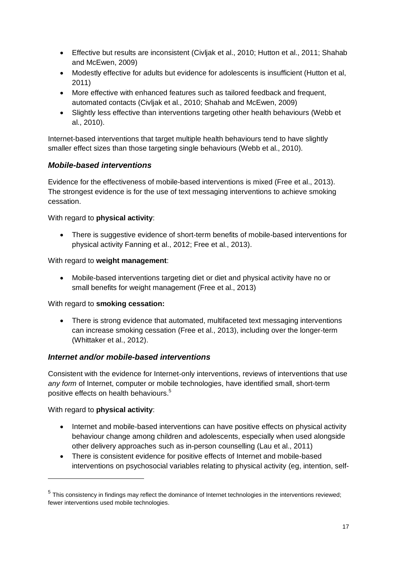- Effective but results are inconsistent (Civljak et al., 2010; Hutton et al., 2011; Shahab and McEwen, 2009)
- Modestly effective for adults but evidence for adolescents is insufficient (Hutton et al, 2011)
- More effective with enhanced features such as tailored feedback and frequent, automated contacts (Civljak et al., 2010; Shahab and McEwen, 2009)
- Slightly less effective than interventions targeting other health behaviours (Webb et al., 2010).

Internet-based interventions that target multiple health behaviours tend to have slightly smaller effect sizes than those targeting single behaviours (Webb et al., 2010).

#### *Mobile-based interventions*

Evidence for the effectiveness of mobile-based interventions is mixed (Free et al., 2013). The strongest evidence is for the use of text messaging interventions to achieve smoking cessation.

With regard to **physical activity**:

 There is suggestive evidence of short-term benefits of mobile-based interventions for physical activity Fanning et al., 2012; Free et al., 2013).

With regard to **weight management**:

 Mobile-based interventions targeting diet or diet and physical activity have no or small benefits for weight management (Free et al., 2013)

With regard to **smoking cessation:**

 There is strong evidence that automated, multifaceted text messaging interventions can increase smoking cessation (Free et al., 2013), including over the longer-term (Whittaker et al., 2012).

#### *Internet and/or mobile-based interventions*

Consistent with the evidence for Internet-only interventions, reviews of interventions that use *any form* of Internet, computer or mobile technologies, have identified small, short-term positive effects on health behaviours.<sup>5</sup>

With regard to **physical activity**:

-

- Internet and mobile-based interventions can have positive effects on physical activity behaviour change among children and adolescents, especially when used alongside other delivery approaches such as in-person counselling (Lau et al., 2011)
- There is consistent evidence for positive effects of Internet and mobile-based interventions on psychosocial variables relating to physical activity (eg, intention, self-

 $<sup>5</sup>$  This consistency in findings may reflect the dominance of Internet technologies in the interventions reviewed;</sup> fewer interventions used mobile technologies.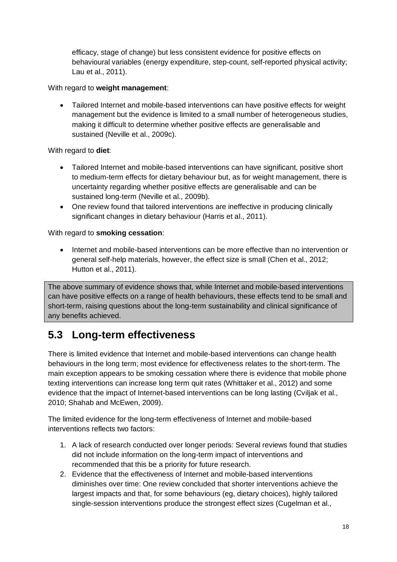efficacy, stage of change) but less consistent evidence for positive effects on behavioural variables (energy expenditure, step-count, self-reported physical activity; Lau et al., 2011).

With regard to **weight management**:

 Tailored Internet and mobile-based interventions can have positive effects for weight management but the evidence is limited to a small number of heterogeneous studies, making it difficult to determine whether positive effects are generalisable and sustained (Neville et al., 2009c).

With regard to **diet**:

- Tailored Internet and mobile-based interventions can have significant, positive short to medium-term effects for dietary behaviour but, as for weight management, there is uncertainty regarding whether positive effects are generalisable and can be sustained long-term (Neville et al., 2009b).
- One review found that tailored interventions are ineffective in producing clinically significant changes in dietary behaviour (Harris et al., 2011).

With regard to **smoking cessation**:

• Internet and mobile-based interventions can be more effective than no intervention or general self-help materials, however, the effect size is small (Chen et al., 2012; Hutton et al., 2011).

The above summary of evidence shows that, while Internet and mobile-based interventions can have positive effects on a range of health behaviours, these effects tend to be small and short-term, raising questions about the long-term sustainability and clinical significance of any benefits achieved.

### <span id="page-17-0"></span>**5.3 Long-term effectiveness**

There is limited evidence that Internet and mobile-based interventions can change health behaviours in the long term; most evidence for effectiveness relates to the short-term. The main exception appears to be smoking cessation where there is evidence that mobile phone texting interventions can increase long term quit rates (Whittaker et al., 2012) and some evidence that the impact of Internet-based interventions can be long lasting (Cviljak et al., 2010; Shahab and McEwen, 2009).

The limited evidence for the long-term effectiveness of Internet and mobile-based interventions reflects two factors:

- 1. A lack of research conducted over longer periods: Several reviews found that studies did not include information on the long-term impact of interventions and recommended that this be a priority for future research.
- 2. Evidence that the effectiveness of Internet and mobile-based interventions diminishes over time: One review concluded that shorter interventions achieve the largest impacts and that, for some behaviours (eg, dietary choices), highly tailored single-session interventions produce the strongest effect sizes (Cugelman et al.,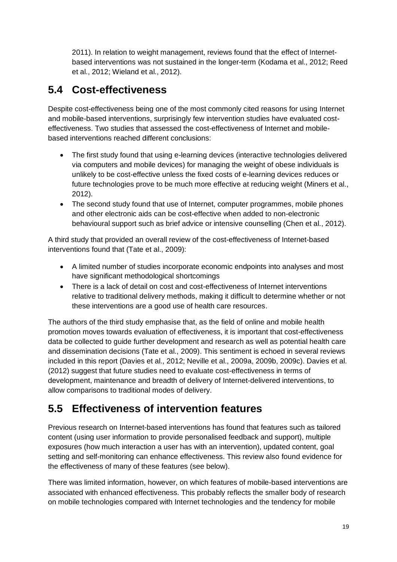2011). In relation to weight management, reviews found that the effect of Internetbased interventions was not sustained in the longer-term (Kodama et al., 2012; Reed et al., 2012; Wieland et al., 2012).

## <span id="page-18-0"></span>**5.4 Cost-effectiveness**

Despite cost-effectiveness being one of the most commonly cited reasons for using Internet and mobile-based interventions, surprisingly few intervention studies have evaluated costeffectiveness. Two studies that assessed the cost-effectiveness of Internet and mobilebased interventions reached different conclusions:

- The first study found that using e-learning devices (interactive technologies delivered via computers and mobile devices) for managing the weight of obese individuals is unlikely to be cost-effective unless the fixed costs of e-learning devices reduces or future technologies prove to be much more effective at reducing weight (Miners et al., 2012).
- The second study found that use of Internet, computer programmes, mobile phones and other electronic aids can be cost-effective when added to non-electronic behavioural support such as brief advice or intensive counselling (Chen et al., 2012).

A third study that provided an overall review of the cost-effectiveness of Internet-based interventions found that (Tate et al., 2009):

- A limited number of studies incorporate economic endpoints into analyses and most have significant methodological shortcomings
- There is a lack of detail on cost and cost-effectiveness of Internet interventions relative to traditional delivery methods, making it difficult to determine whether or not these interventions are a good use of health care resources.

The authors of the third study emphasise that, as the field of online and mobile health promotion moves towards evaluation of effectiveness, it is important that cost-effectiveness data be collected to guide further development and research as well as potential health care and dissemination decisions (Tate et al., 2009). This sentiment is echoed in several reviews included in this report (Davies et al., 2012; Neville et al., 2009a, 2009b, 2009c). Davies et al. (2012) suggest that future studies need to evaluate cost-effectiveness in terms of development, maintenance and breadth of delivery of Internet-delivered interventions, to allow comparisons to traditional modes of delivery.

## <span id="page-18-1"></span>**5.5 Effectiveness of intervention features**

Previous research on Internet-based interventions has found that features such as tailored content (using user information to provide personalised feedback and support), multiple exposures (how much interaction a user has with an intervention), updated content, goal setting and self-monitoring can enhance effectiveness. This review also found evidence for the effectiveness of many of these features (see below).

There was limited information, however, on which features of mobile-based interventions are associated with enhanced effectiveness. This probably reflects the smaller body of research on mobile technologies compared with Internet technologies and the tendency for mobile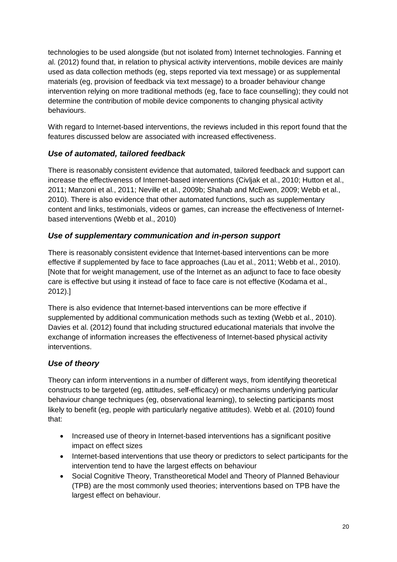technologies to be used alongside (but not isolated from) Internet technologies. Fanning et al. (2012) found that, in relation to physical activity interventions, mobile devices are mainly used as data collection methods (eg, steps reported via text message) or as supplemental materials (eg, provision of feedback via text message) to a broader behaviour change intervention relying on more traditional methods (eg, face to face counselling); they could not determine the contribution of mobile device components to changing physical activity behaviours.

With regard to Internet-based interventions, the reviews included in this report found that the features discussed below are associated with increased effectiveness.

#### *Use of automated, tailored feedback*

There is reasonably consistent evidence that automated, tailored feedback and support can increase the effectiveness of Internet-based interventions (Civljak et al., 2010; Hutton et al., 2011; Manzoni et al., 2011; Neville et al., 2009b; Shahab and McEwen, 2009; Webb et al., 2010). There is also evidence that other automated functions, such as supplementary content and links, testimonials, videos or games, can increase the effectiveness of Internetbased interventions (Webb et al., 2010)

#### *Use of supplementary communication and in-person support*

There is reasonably consistent evidence that Internet-based interventions can be more effective if supplemented by face to face approaches (Lau et al., 2011; Webb et al., 2010). [Note that for weight management, use of the Internet as an adjunct to face to face obesity care is effective but using it instead of face to face care is not effective (Kodama et al., 2012).]

There is also evidence that Internet-based interventions can be more effective if supplemented by additional communication methods such as texting (Webb et al., 2010). Davies et al. (2012) found that including structured educational materials that involve the exchange of information increases the effectiveness of Internet-based physical activity interventions.

#### *Use of theory*

Theory can inform interventions in a number of different ways, from identifying theoretical constructs to be targeted (eg, attitudes, self-efficacy) or mechanisms underlying particular behaviour change techniques (eg, observational learning), to selecting participants most likely to benefit (eg, people with particularly negative attitudes). Webb et al. (2010) found that:

- Increased use of theory in Internet-based interventions has a significant positive impact on effect sizes
- Internet-based interventions that use theory or predictors to select participants for the intervention tend to have the largest effects on behaviour
- Social Cognitive Theory, Transtheoretical Model and Theory of Planned Behaviour (TPB) are the most commonly used theories; interventions based on TPB have the largest effect on behaviour.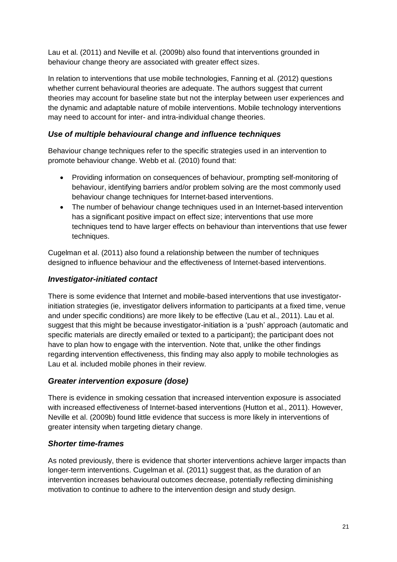Lau et al. (2011) and Neville et al. (2009b) also found that interventions grounded in behaviour change theory are associated with greater effect sizes.

In relation to interventions that use mobile technologies, Fanning et al. (2012) questions whether current behavioural theories are adequate. The authors suggest that current theories may account for baseline state but not the interplay between user experiences and the dynamic and adaptable nature of mobile interventions. Mobile technology interventions may need to account for inter- and intra-individual change theories.

#### *Use of multiple behavioural change and influence techniques*

Behaviour change techniques refer to the specific strategies used in an intervention to promote behaviour change. Webb et al. (2010) found that:

- Providing information on consequences of behaviour, prompting self-monitoring of behaviour, identifying barriers and/or problem solving are the most commonly used behaviour change techniques for Internet-based interventions.
- The number of behaviour change techniques used in an Internet-based intervention has a significant positive impact on effect size; interventions that use more techniques tend to have larger effects on behaviour than interventions that use fewer techniques.

Cugelman et al. (2011) also found a relationship between the number of techniques designed to influence behaviour and the effectiveness of Internet-based interventions.

#### *Investigator-initiated contact*

There is some evidence that Internet and mobile-based interventions that use investigatorinitiation strategies (ie, investigator delivers information to participants at a fixed time, venue and under specific conditions) are more likely to be effective (Lau et al., 2011). Lau et al. suggest that this might be because investigator-initiation is a 'push' approach (automatic and specific materials are directly emailed or texted to a participant); the participant does not have to plan how to engage with the intervention. Note that, unlike the other findings regarding intervention effectiveness, this finding may also apply to mobile technologies as Lau et al. included mobile phones in their review.

#### *Greater intervention exposure (dose)*

There is evidence in smoking cessation that increased intervention exposure is associated with increased effectiveness of Internet-based interventions (Hutton et al., 2011). However, Neville et al. (2009b) found little evidence that success is more likely in interventions of greater intensity when targeting dietary change.

#### *Shorter time-frames*

As noted previously, there is evidence that shorter interventions achieve larger impacts than longer-term interventions. Cugelman et al. (2011) suggest that, as the duration of an intervention increases behavioural outcomes decrease, potentially reflecting diminishing motivation to continue to adhere to the intervention design and study design.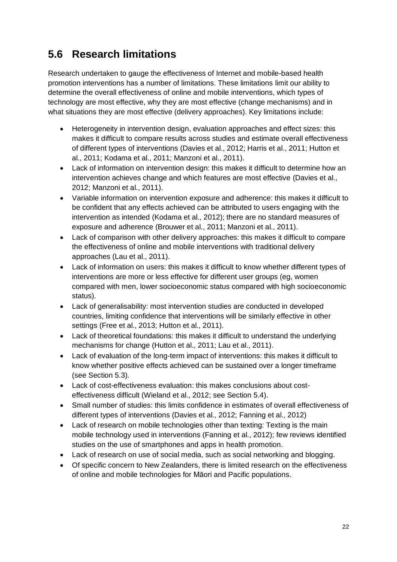## <span id="page-21-0"></span>**5.6 Research limitations**

Research undertaken to gauge the effectiveness of Internet and mobile-based health promotion interventions has a number of limitations. These limitations limit our ability to determine the overall effectiveness of online and mobile interventions, which types of technology are most effective, why they are most effective (change mechanisms) and in what situations they are most effective (delivery approaches). Key limitations include:

- Heterogeneity in intervention design, evaluation approaches and effect sizes: this makes it difficult to compare results across studies and estimate overall effectiveness of different types of interventions (Davies et al., 2012; Harris et al., 2011; Hutton et al., 2011; Kodama et al., 2011; Manzoni et al., 2011).
- Lack of information on intervention design: this makes it difficult to determine how an intervention achieves change and which features are most effective (Davies et al., 2012; Manzoni et al., 2011).
- Variable information on intervention exposure and adherence: this makes it difficult to be confident that any effects achieved can be attributed to users engaging with the intervention as intended (Kodama et al., 2012); there are no standard measures of exposure and adherence (Brouwer et al., 2011; Manzoni et al., 2011).
- Lack of comparison with other delivery approaches: this makes it difficult to compare the effectiveness of online and mobile interventions with traditional delivery approaches (Lau et al., 2011).
- Lack of information on users: this makes it difficult to know whether different types of interventions are more or less effective for different user groups (eg, women compared with men, lower socioeconomic status compared with high socioeconomic status).
- Lack of generalisability: most intervention studies are conducted in developed countries, limiting confidence that interventions will be similarly effective in other settings (Free et al., 2013; Hutton et al., 2011).
- Lack of theoretical foundations: this makes it difficult to understand the underlying mechanisms for change (Hutton et al., 2011; Lau et al., 2011).
- Lack of evaluation of the long-term impact of interventions: this makes it difficult to know whether positive effects achieved can be sustained over a longer timeframe (see Section 5.3).
- Lack of cost-effectiveness evaluation: this makes conclusions about costeffectiveness difficult (Wieland et al., 2012; see Section 5.4).
- Small number of studies: this limits confidence in estimates of overall effectiveness of different types of interventions (Davies et al., 2012; Fanning et al., 2012)
- Lack of research on mobile technologies other than texting: Texting is the main mobile technology used in interventions (Fanning et al., 2012); few reviews identified studies on the use of smartphones and apps in health promotion.
- Lack of research on use of social media, such as social networking and blogging.
- Of specific concern to New Zealanders, there is limited research on the effectiveness of online and mobile technologies for Māori and Pacific populations.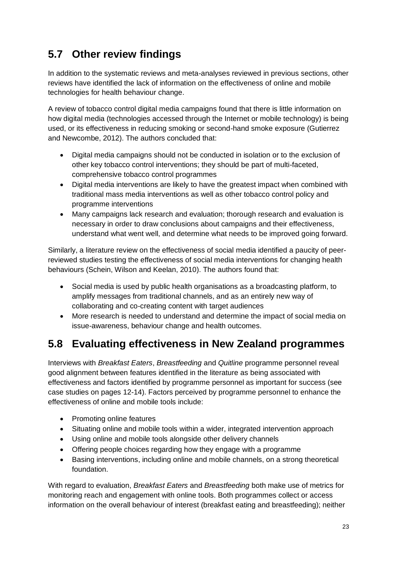## <span id="page-22-0"></span>**5.7 Other review findings**

In addition to the systematic reviews and meta-analyses reviewed in previous sections, other reviews have identified the lack of information on the effectiveness of online and mobile technologies for health behaviour change.

A review of tobacco control digital media campaigns found that there is little information on how digital media (technologies accessed through the Internet or mobile technology) is being used, or its effectiveness in reducing smoking or second-hand smoke exposure (Gutierrez and Newcombe, 2012). The authors concluded that:

- Digital media campaigns should not be conducted in isolation or to the exclusion of other key tobacco control interventions; they should be part of multi-faceted, comprehensive tobacco control programmes
- Digital media interventions are likely to have the greatest impact when combined with traditional mass media interventions as well as other tobacco control policy and programme interventions
- Many campaigns lack research and evaluation; thorough research and evaluation is necessary in order to draw conclusions about campaigns and their effectiveness, understand what went well, and determine what needs to be improved going forward.

Similarly, a literature review on the effectiveness of social media identified a paucity of peerreviewed studies testing the effectiveness of social media interventions for changing health behaviours (Schein, Wilson and Keelan, 2010). The authors found that:

- Social media is used by public health organisations as a broadcasting platform, to amplify messages from traditional channels, and as an entirely new way of collaborating and co-creating content with target audiences
- More research is needed to understand and determine the impact of social media on issue-awareness, behaviour change and health outcomes.

## <span id="page-22-1"></span>**5.8 Evaluating effectiveness in New Zealand programmes**

Interviews with *Breakfast Eaters*, *Breastfeeding* and *Quitline* programme personnel reveal good alignment between features identified in the literature as being associated with effectiveness and factors identified by programme personnel as important for success (see case studies on pages 12-14). Factors perceived by programme personnel to enhance the effectiveness of online and mobile tools include:

- Promoting online features
- Situating online and mobile tools within a wider, integrated intervention approach
- Using online and mobile tools alongside other delivery channels
- Offering people choices regarding how they engage with a programme
- Basing interventions, including online and mobile channels, on a strong theoretical foundation.

With regard to evaluation, *Breakfast Eaters* and *Breastfeeding* both make use of metrics for monitoring reach and engagement with online tools. Both programmes collect or access information on the overall behaviour of interest (breakfast eating and breastfeeding); neither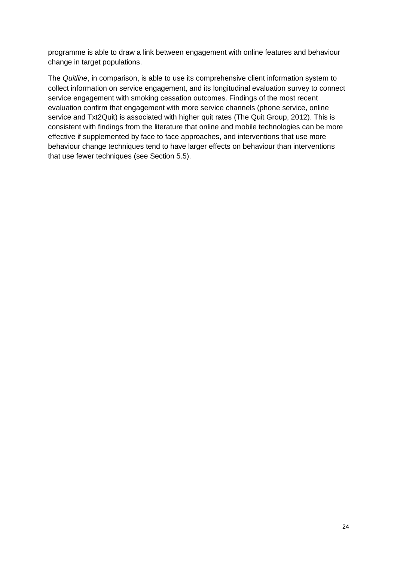programme is able to draw a link between engagement with online features and behaviour change in target populations.

The *Quitline*, in comparison, is able to use its comprehensive client information system to collect information on service engagement, and its longitudinal evaluation survey to connect service engagement with smoking cessation outcomes. Findings of the most recent evaluation confirm that engagement with more service channels (phone service, online service and Txt2Quit) is associated with higher quit rates (The Quit Group, 2012). This is consistent with findings from the literature that online and mobile technologies can be more effective if supplemented by face to face approaches, and interventions that use more behaviour change techniques tend to have larger effects on behaviour than interventions that use fewer techniques (see Section 5.5).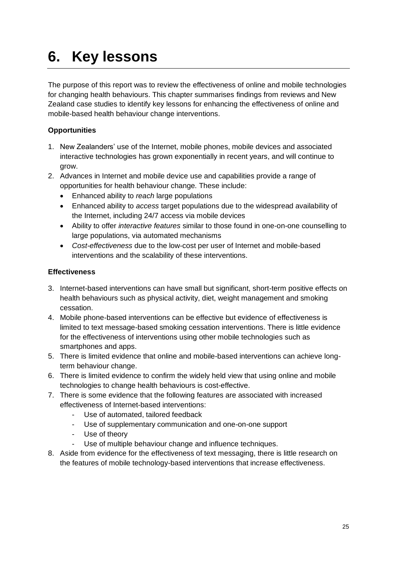# <span id="page-24-0"></span>**6. Key lessons**

The purpose of this report was to review the effectiveness of online and mobile technologies for changing health behaviours. This chapter summarises findings from reviews and New Zealand case studies to identify key lessons for enhancing the effectiveness of online and mobile-based health behaviour change interventions.

#### **Opportunities**

- 1. New Zealanders' use of the Internet, mobile phones, mobile devices and associated interactive technologies has grown exponentially in recent years, and will continue to grow.
- 2. Advances in Internet and mobile device use and capabilities provide a range of opportunities for health behaviour change. These include:
	- Enhanced ability to *reach* large populations
	- Enhanced ability to *access* target populations due to the widespread availability of the Internet, including 24/7 access via mobile devices
	- Ability to offer *interactive features* similar to those found in one-on-one counselling to large populations, via automated mechanisms
	- *Cost-effectiveness* due to the low-cost per user of Internet and mobile-based interventions and the scalability of these interventions.

#### **Effectiveness**

- 3. Internet-based interventions can have small but significant, short-term positive effects on health behaviours such as physical activity, diet, weight management and smoking cessation.
- 4. Mobile phone-based interventions can be effective but evidence of effectiveness is limited to text message-based smoking cessation interventions. There is little evidence for the effectiveness of interventions using other mobile technologies such as smartphones and apps.
- 5. There is limited evidence that online and mobile-based interventions can achieve longterm behaviour change.
- 6. There is limited evidence to confirm the widely held view that using online and mobile technologies to change health behaviours is cost-effective.
- 7. There is some evidence that the following features are associated with increased effectiveness of Internet-based interventions:
	- Use of automated, tailored feedback
	- Use of supplementary communication and one-on-one support
	- Use of theory
	- Use of multiple behaviour change and influence techniques.
- 8. Aside from evidence for the effectiveness of text messaging, there is little research on the features of mobile technology-based interventions that increase effectiveness.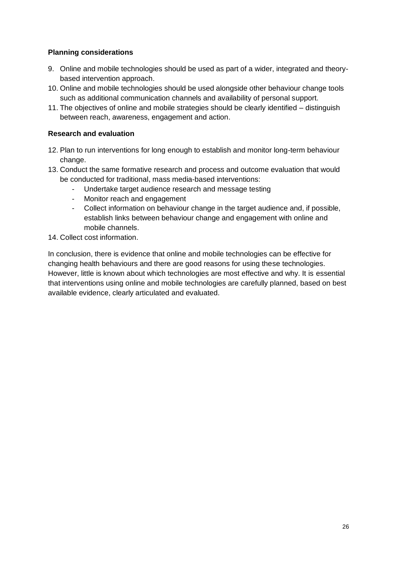#### **Planning considerations**

- 9. Online and mobile technologies should be used as part of a wider, integrated and theorybased intervention approach.
- 10. Online and mobile technologies should be used alongside other behaviour change tools such as additional communication channels and availability of personal support.
- 11. The objectives of online and mobile strategies should be clearly identified distinguish between reach, awareness, engagement and action.

#### **Research and evaluation**

- 12. Plan to run interventions for long enough to establish and monitor long-term behaviour change.
- 13. Conduct the same formative research and process and outcome evaluation that would be conducted for traditional, mass media-based interventions:
	- Undertake target audience research and message testing
	- Monitor reach and engagement
	- Collect information on behaviour change in the target audience and, if possible, establish links between behaviour change and engagement with online and mobile channels.
- 14. Collect cost information.

In conclusion, there is evidence that online and mobile technologies can be effective for changing health behaviours and there are good reasons for using these technologies. However, little is known about which technologies are most effective and why. It is essential that interventions using online and mobile technologies are carefully planned, based on best available evidence, clearly articulated and evaluated.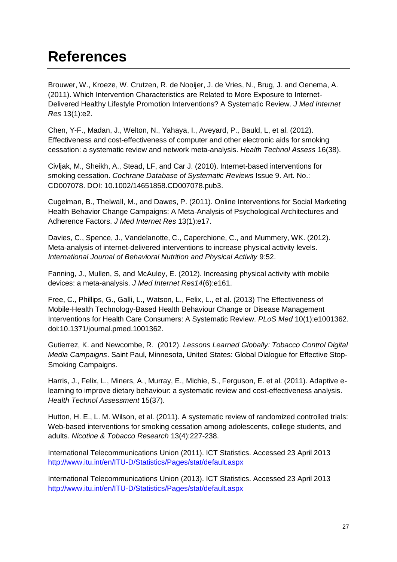## <span id="page-26-0"></span>**References**

Brouwer, W., Kroeze, W. Crutzen, R. de Nooijer, J. de Vries, N., Brug, J. and Oenema, A. (2011). Which Intervention Characteristics are Related to More Exposure to Internet-Delivered Healthy Lifestyle Promotion Interventions? A Systematic Review. *J Med Internet Res* 13(1):e2.

Chen, Y-F., Madan, J., Welton, N., Yahaya, I., Aveyard, P., Bauld, L, et al. (2012). Effectiveness and cost-effectiveness of computer and other electronic aids for smoking cessation: a systematic review and network meta-analysis. *Health Technol Assess* 16(38).

Civljak, M., Sheikh, A., Stead, LF, and Car J. (2010). Internet-based interventions for smoking cessation. *Cochrane Database of Systematic Reviews* Issue 9. Art. No.: CD007078. DOI: 10.1002/14651858.CD007078.pub3.

Cugelman, B., Thelwall, M., and Dawes, P. (2011). Online Interventions for Social Marketing Health Behavior Change Campaigns: A Meta-Analysis of Psychological Architectures and Adherence Factors. *J Med Internet Res* 13(1):e17.

Davies, C., Spence, J., Vandelanotte, C., Caperchione, C., and Mummery, WK. (2012). Meta-analysis of internet-delivered interventions to increase physical activity levels. *International Journal of Behavioral Nutrition and Physical Activity* 9:52.

Fanning, J., Mullen, S, and McAuley, E. (2012). Increasing physical activity with mobile devices: a meta-analysis. *J Med Internet Res14*(6):e161.

Free, C., Phillips, G., Galli, L., Watson, L., Felix, L., et al. (2013) The Effectiveness of Mobile-Health Technology-Based Health Behaviour Change or Disease Management Interventions for Health Care Consumers: A Systematic Review. *PLoS Med* 10(1):e1001362. doi:10.1371/journal.pmed.1001362.

Gutierrez, K. and Newcombe, R. (2012). *Lessons Learned Globally: Tobacco Control Digital Media Campaigns*. Saint Paul, Minnesota, United States: Global Dialogue for Effective Stop-Smoking Campaigns.

Harris, J., Felix, L., Miners, A., Murray, E., Michie, S., Ferguson, E. et al. (2011). Adaptive elearning to improve dietary behaviour: a systematic review and cost-effectiveness analysis. *Health Technol Assessment* 15(37).

Hutton, H. E., L. M. Wilson, et al. (2011). A systematic review of randomized controlled trials: Web-based interventions for smoking cessation among adolescents, college students, and adults. *Nicotine & Tobacco Research* 13(4):227-238.

International Telecommunications Union (2011). ICT Statistics. Accessed 23 April 2013 <http://www.itu.int/en/ITU-D/Statistics/Pages/stat/default.aspx>

International Telecommunications Union (2013). ICT Statistics. Accessed 23 April 2013 <http://www.itu.int/en/ITU-D/Statistics/Pages/stat/default.aspx>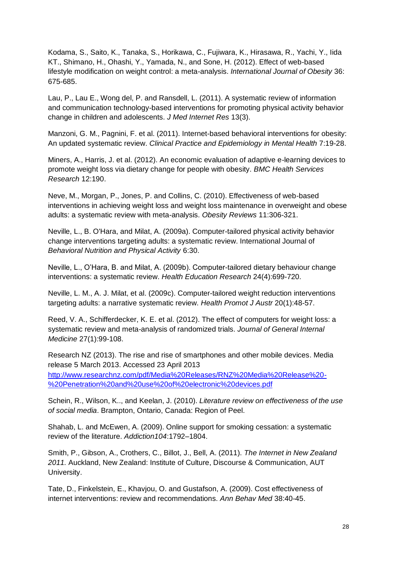Kodama, S., Saito, K., Tanaka, S., Horikawa, C., Fujiwara, K., Hirasawa, R., Yachi, Y., Iida KT., Shimano, H., Ohashi, Y., Yamada, N., and Sone, H. (2012). Effect of web-based lifestyle modification on weight control: a meta-analysis. *International Journal of Obesity* 36: 675-685.

Lau, P., Lau E., Wong del, P. and Ransdell, L. (2011). A systematic review of information and communication technology-based interventions for promoting physical activity behavior change in children and adolescents. *J Med Internet Res* 13(3).

Manzoni, G. M., Pagnini, F. et al. (2011). Internet-based behavioral interventions for obesity: An updated systematic review. *Clinical Practice and Epidemiology in Mental Health* 7:19-28.

Miners, A., Harris, J. et al. (2012). An economic evaluation of adaptive e-learning devices to promote weight loss via dietary change for people with obesity. *BMC Health Services Research* 12:190.

Neve, M., Morgan, P., Jones, P. and Collins, C. (2010). Effectiveness of web-based interventions in achieving weight loss and weight loss maintenance in overweight and obese adults: a systematic review with meta-analysis. *Obesity Reviews* 11:306-321.

Neville, L., B. O'Hara, and Milat, A. (2009a). Computer-tailored physical activity behavior change interventions targeting adults: a systematic review. International Journal of *Behavioral Nutrition and Physical Activity* 6:30.

Neville, L., O'Hara, B. and Milat, A. (2009b). Computer-tailored dietary behaviour change interventions: a systematic review. *Health Education Research* 24(4):699-720.

Neville, L. M., A. J. Milat, et al. (2009c). Computer-tailored weight reduction interventions targeting adults: a narrative systematic review. *Health Promot J Austr* 20(1):48-57.

Reed, V. A., Schifferdecker, K. E. et al. (2012). The effect of computers for weight loss: a systematic review and meta-analysis of randomized trials. *Journal of General Internal Medicine* 27(1):99-108.

Research NZ (2013). The rise and rise of smartphones and other mobile devices. Media release 5 March 2013. Accessed 23 April 2013 [http://www.researchnz.com/pdf/Media%20Releases/RNZ%20Media%20Release%20-](http://www.researchnz.com/pdf/Media%20Releases/RNZ%20Media%20Release%20-%20Penetration%20and%20use%20of%20electronic%20devices.pdf) [%20Penetration%20and%20use%20of%20electronic%20devices.pdf](http://www.researchnz.com/pdf/Media%20Releases/RNZ%20Media%20Release%20-%20Penetration%20and%20use%20of%20electronic%20devices.pdf)

Schein, R., Wilson, K.., and Keelan, J. (2010). *Literature review on effectiveness of the use of social media*. Brampton, Ontario, Canada: Region of Peel.

Shahab, L. and McEwen, A. (2009). Online support for smoking cessation: a systematic review of the literature. *Addiction104*:1792–1804.

Smith, P., Gibson, A., Crothers, C., Billot, J., Bell, A. (2011). *The Internet in New Zealand 2011.* Auckland, New Zealand: Institute of Culture, Discourse & Communication, AUT University.

Tate, D., Finkelstein, E., Khavjou, O. and Gustafson, A. (2009). Cost effectiveness of internet interventions: review and recommendations. *Ann Behav Med* 38:40-45.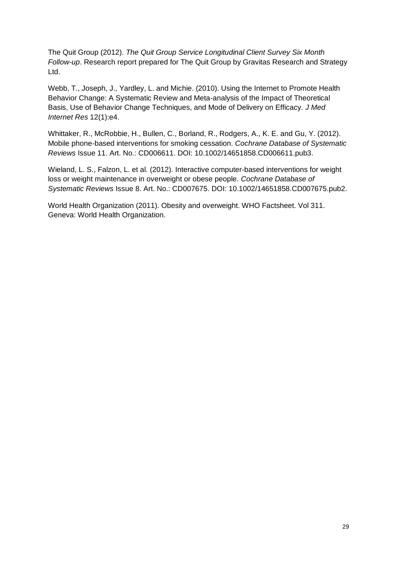The Quit Group (2012). *The Quit Group Service Longitudinal Client Survey Six Month Follow-up*. Research report prepared for The Quit Group by Gravitas Research and Strategy Ltd.

Webb, T., Joseph, J., Yardley, L. and Michie. (2010). Using the Internet to Promote Health Behavior Change: A Systematic Review and Meta-analysis of the Impact of Theoretical Basis, Use of Behavior Change Techniques, and Mode of Delivery on Efficacy. *J Med Internet Res* 12(1):e4.

Whittaker, R., McRobbie, H., Bullen, C., Borland, R., Rodgers, A., K. E. and Gu, Y. (2012). Mobile phone-based interventions for smoking cessation. *Cochrane Database of Systematic Reviews* Issue 11. Art. No.: CD006611. DOI: 10.1002/14651858.CD006611.pub3.

Wieland, L. S., Falzon, L. et al. (2012). Interactive computer-based interventions for weight loss or weight maintenance in overweight or obese people. *Cochrane Database of Systematic Reviews* Issue 8. Art. No.: CD007675. DOI: 10.1002/14651858.CD007675.pub2.

World Health Organization (2011). Obesity and overweight. WHO Factsheet. Vol 311. Geneva: World Health Organization.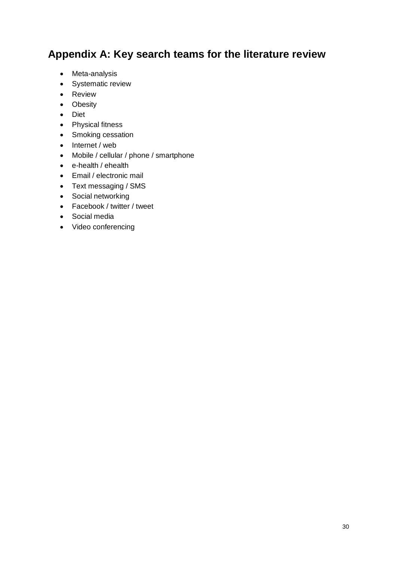## <span id="page-29-0"></span>**Appendix A: Key search teams for the literature review**

- Meta-analysis
- Systematic review
- Review
- Obesity
- Diet
- Physical fitness
- Smoking cessation
- Internet / web
- Mobile / cellular / phone / smartphone
- e-health / ehealth
- Email / electronic mail
- Text messaging / SMS
- Social networking
- Facebook / twitter / tweet
- Social media
- Video conferencing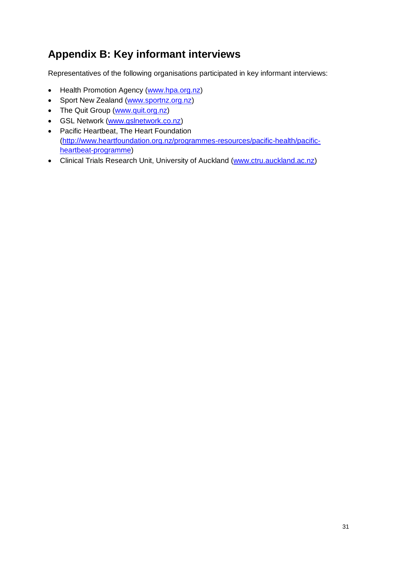## <span id="page-30-0"></span>**Appendix B: Key informant interviews**

Representatives of the following organisations participated in key informant interviews:

- Health Promotion Agency [\(www.hpa.org.nz\)](http://www.hpa.org.nz/)
- Sport New Zealand [\(www.sportnz.org.nz\)](http://www.sportnz.org.nz/)
- The Quit Group [\(www.quit.org.nz\)](http://www.quit.org.nz/)
- GSL Network [\(www.gslnetwork.co.nz\)](http://www.gslnetwork.co.nz/)
- Pacific Heartbeat, The Heart Foundation [\(http://www.heartfoundation.org.nz/programmes-resources/pacific-health/pacific](http://www.heartfoundation.org.nz/programmes-resources/pacific-health/pacific-heartbeat-programme)[heartbeat-programme\)](http://www.heartfoundation.org.nz/programmes-resources/pacific-health/pacific-heartbeat-programme)
- Clinical Trials Research Unit, University of Auckland [\(www.ctru.auckland.ac.nz\)](http://www.ctru.auckland.ac.nz/)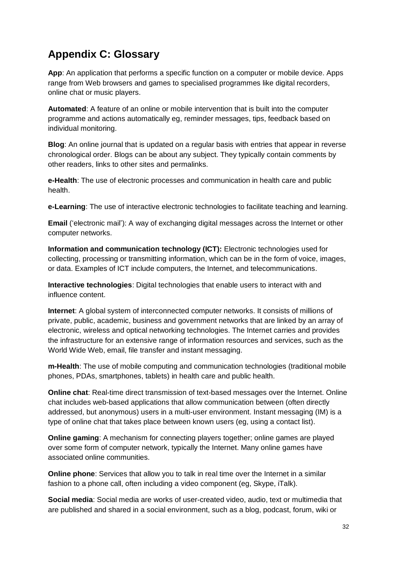## <span id="page-31-0"></span>**Appendix C: Glossary**

**App**: An application that performs a specific function on a computer or mobile device. Apps range from Web browsers and games to specialised programmes like digital recorders, online chat or music players.

**Automated**: A feature of an online or mobile intervention that is built into the computer programme and actions automatically eg, reminder messages, tips, feedback based on individual monitoring.

**Blog**: An online journal that is updated on a regular basis with entries that appear in reverse chronological order. Blogs can be about any subject. They typically contain comments by other readers, links to other sites and permalinks.

**e-Health**: The use of electronic processes and communication in health care and public health.

**e-Learning**: The use of interactive electronic technologies to facilitate teaching and learning.

**Email** ('electronic mail'): A way of exchanging digital messages across the Internet or other computer networks.

**Information and communication technology (ICT):** Electronic technologies used for collecting, processing or transmitting information, which can be in the form of voice, images, or data. Examples of ICT include computers, the Internet, and telecommunications.

**Interactive technologies**: Digital technologies that enable users to interact with and influence content.

**Internet**: A global system of interconnected computer networks. It consists of millions of private, public, academic, business and government networks that are linked by an array of electronic, wireless and optical networking technologies. The Internet carries and provides the infrastructure for an extensive range of information resources and services, such as the World Wide Web, email, file transfer and instant messaging.

**m-Health**: The use of mobile computing and communication technologies (traditional mobile phones, PDAs, smartphones, tablets) in health care and public health.

**Online chat**: Real-time direct transmission of text-based messages over the Internet. Online chat includes web-based applications that allow communication between (often directly addressed, but anonymous) users in a multi-user environment. Instant messaging (IM) is a type of online chat that takes place between known users (eg, using a contact list).

**Online gaming**: A mechanism for connecting players together; online games are played over some form of [computer network,](https://en.wikipedia.org/wiki/Computer_network) typically the [Internet.](https://en.wikipedia.org/wiki/Internet) Many online games have associated online communities.

**Online phone**: Services that allow you to talk in real time over the Internet in a similar fashion to a phone call, often including a video component (eg, Skype, iTalk).

**Social media**: Social media are works of user-created video, audio, text or multimedia that are published and shared in a social environment, such as a blog, podcast, forum, wiki or